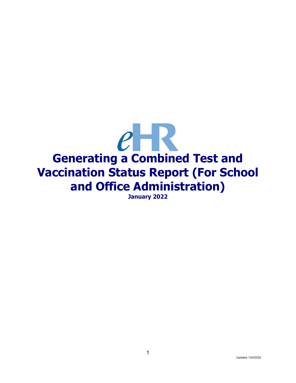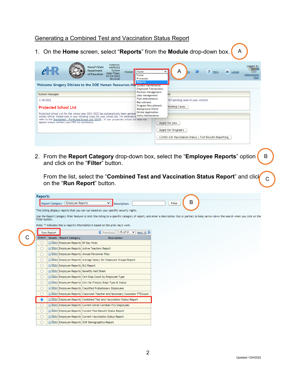## Generating a Combined Test and Vaccination Status Report

|                              |                                                     | Instance:                                                                                                                                                                                                                                                                                                   |                                                |                                                       |   |      |          |             |
|------------------------------|-----------------------------------------------------|-------------------------------------------------------------------------------------------------------------------------------------------------------------------------------------------------------------------------------------------------------------------------------------------------------------|------------------------------------------------|-------------------------------------------------------|---|------|----------|-------------|
| $e - R$                      |                                                     | Hawai'i State<br><b>HRPROD2</b><br><b>Department</b><br>System<br>Module                                                                                                                                                                                                                                    | Home                                           | v                                                     | ≫ | Help | X Logout | Logged in:  |
|                              |                                                     | Date/Time:<br>of Education<br>01/24/2022                                                                                                                                                                                                                                                                    | Home<br>Processes                              |                                                       |   |      |          | Impersonate |
|                              |                                                     | 09:35:00<br>Welcome Gregory Dikilato to the DOE Human Resources Man System Maintenance                                                                                                                                                                                                                      | <b>Reports</b>                                 |                                                       |   |      |          |             |
|                              |                                                     |                                                                                                                                                                                                                                                                                                             | <b>Employee Transactions</b>                   |                                                       |   |      |          |             |
| <b>System Messages</b>       |                                                     |                                                                                                                                                                                                                                                                                                             | <b>Position Management</b><br>Jobs Management  | ist                                                   |   |      |          |             |
| 1/18/2022                    |                                                     |                                                                                                                                                                                                                                                                                                             | <b>Plan Amendments</b><br>Recruitment          | 187 pending cases in your worklist                    |   |      |          |             |
|                              | <b>Projected School List</b>                        |                                                                                                                                                                                                                                                                                                             | Program Recruitment<br><b>Background Check</b> | Pending Cases                                         |   |      |          |             |
|                              |                                                     | Projected School List for the school year 2021-2022 has automatically been general                                                                                                                                                                                                                          | <b>Online Application</b>                      |                                                       |   |      |          |             |
|                              |                                                     | school/office. Please look in your Pending Cases for your school list. For detailed in Menu Maintenance<br>refer to the Quicksheet - Projected School List (2019). If your projected school list does not                                                                                                   |                                                |                                                       |   |      |          |             |
|                              | appear please contact your PRO for assistance.      |                                                                                                                                                                                                                                                                                                             |                                                | Apply for Jobs                                        |   |      |          |             |
|                              |                                                     |                                                                                                                                                                                                                                                                                                             |                                                | Apply for Programs                                    |   |      |          |             |
|                              |                                                     |                                                                                                                                                                                                                                                                                                             |                                                | COVID-19: Vaccination Status / Test Results Reporting |   |      |          |             |
|                              |                                                     |                                                                                                                                                                                                                                                                                                             |                                                |                                                       |   |      |          |             |
| Reports                      |                                                     | From the list, select the "Combined Test and Vaccination Status Report" and click<br>on the " <b>Run Report</b> " button.                                                                                                                                                                                   |                                                |                                                       |   |      |          |             |
| Filter button.               | <b>Employee Reports</b><br><b>Report Category</b>   | v<br>Description:<br>This listing displays reports that you can run based on your specific security rights.<br>Use the Report Category filter feature to limit the listing to a specific category of report, and enter a Description (full or partial) to help narrow down the search when you click on the |                                                | Filter                                                | B |      |          |             |
|                              |                                                     | Note: ** indicates that a report's information is based on the prior day's work.                                                                                                                                                                                                                            |                                                |                                                       |   |      |          |             |
| Run Report<br>Select Details | <b>Report Category</b>                              | $\textcircled{F}$ Previous   1-15 of 61 $\textcircled{F}$ Next 15 $\textcircled{F}$<br>Description                                                                                                                                                                                                          |                                                |                                                       |   |      |          |             |
| $\cup$                       | File Show Employee Reports 89 Day Hires             |                                                                                                                                                                                                                                                                                                             |                                                |                                                       |   |      |          |             |
| $\bigcirc$                   | Fig. 2 Show Employee Reports Active Teachers Report |                                                                                                                                                                                                                                                                                                             |                                                |                                                       |   |      |          |             |
| $\bigcirc$                   | Files Show Employee Reports Annual Personnel Files  |                                                                                                                                                                                                                                                                                                             |                                                |                                                       |   |      |          |             |
| $\cup$                       |                                                     | F Show Employee Reports Average Salary for Employee Groups Report                                                                                                                                                                                                                                           |                                                |                                                       |   |      |          |             |
| $\circ$                      | F Show Employee Reports BLS Report                  |                                                                                                                                                                                                                                                                                                             |                                                |                                                       |   |      |          |             |
| $\circ$                      | Film Show Employee Reports Benefits Half Sheet      |                                                                                                                                                                                                                                                                                                             |                                                |                                                       |   |      |          |             |
| $\circ$                      |                                                     | Filar Show Employee Reports Cert Emp Count by Employee Type                                                                                                                                                                                                                                                 |                                                |                                                       |   |      |          |             |
| $\circ$                      |                                                     | Fig. 5how Employee Reports Cert Sal Freq by Empl Type & Status                                                                                                                                                                                                                                              |                                                |                                                       |   |      |          |             |
| $\circ$                      |                                                     | Fig. 5how Employee Reports Classified Probationary Employees                                                                                                                                                                                                                                                |                                                |                                                       |   |      |          |             |
| $\circ$                      |                                                     | Fig. 5how Employee Reports Classroom Teacher and Secondary Counselor FTECount                                                                                                                                                                                                                               |                                                |                                                       |   |      |          |             |
| $\bullet$                    |                                                     | Film Show Employee Reports Combined Test and Vaccination Status Report                                                                                                                                                                                                                                      |                                                |                                                       |   |      |          |             |
| $\circ$                      |                                                     | F Show Employee Reports Current Altres-Ceridian PCS Employees                                                                                                                                                                                                                                               |                                                |                                                       |   |      |          |             |
| $\circ$                      |                                                     | Fig. 2 Show Employee Reports Current Test Results Status Report                                                                                                                                                                                                                                             |                                                |                                                       |   |      |          |             |
| $\circ$<br>$\bigcirc$        |                                                     | File Show Employee Reports Current Vaccination Status Report<br>F Show Employee Reports DOE Demographics Report                                                                                                                                                                                             |                                                |                                                       |   |      |          |             |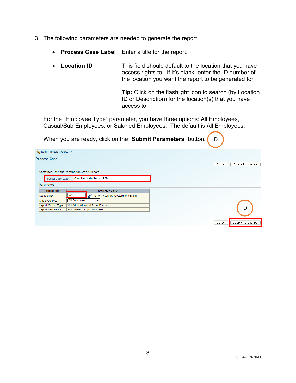- 3. The following parameters are needed to generate the report:
	- **Process Case Label** Enter a title for the report.
	- **Location ID** This field should default to the location that you have access rights to. If it's blank, enter the ID number of the location you want the report to be generated for.

**Tip:** Click on the flashlight icon to search (by Location ID or Description) for the location(s) that you have access to.

For the "Employee Type" parameter, you have three options: All Employees, Casual/Sub Employees, or Salaried Employees. The default is All Employees.

| When you are ready, click on the "Submit Parameters" button   | D                           |
|---------------------------------------------------------------|-----------------------------|
| Return to Edit Reports                                        |                             |
| <b>Process Case</b>                                           |                             |
|                                                               | Cancel<br>Submit Parameters |
| Combined Test and Vaccination Status Report                   |                             |
| CombinedStatusReport PDB<br>Process Case Label:               |                             |
| <b>Parameters</b>                                             |                             |
| <b>Prompt Text</b><br><b>Parameter Value</b>                  |                             |
| 523<br>OTM-Personnel Development Branch<br><b>Location ID</b> |                             |
| <b>All Employees</b><br><b>Employee Type</b><br>v             |                             |
| Report Output Type<br>XLS (XLS - Microsoft Excel Format)      | D                           |
| <b>Report Destination</b><br>STR (Stream Output to Screen)    |                             |
|                                                               |                             |
|                                                               | Submit Parameters<br>Cancel |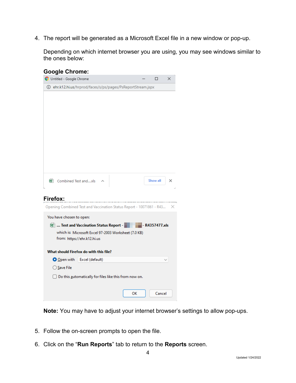4. The report will be generated as a Microsoft Excel file in a new window or pop-up.

Depending on which internet browser you are using, you may see windows similar to the ones below:

| Untitled - Google Chrome |                                         |                                                                      |                |   |
|--------------------------|-----------------------------------------|----------------------------------------------------------------------|----------------|---|
|                          |                                         |                                                                      | п              | × |
|                          |                                         | <b>(i)</b> ehr.k12.hi.us/hrprod/faces/s/ps/pages/PsReportStream.jspx |                |   |
|                          |                                         |                                                                      |                |   |
|                          |                                         |                                                                      |                |   |
|                          |                                         |                                                                      |                |   |
|                          |                                         |                                                                      |                |   |
|                          |                                         |                                                                      |                |   |
|                          |                                         |                                                                      |                |   |
|                          |                                         |                                                                      |                |   |
|                          |                                         |                                                                      |                |   |
|                          |                                         |                                                                      |                |   |
|                          |                                         |                                                                      |                |   |
| 图 Combined Test andxls   |                                         |                                                                      | Show all       | × |
|                          |                                         |                                                                      |                |   |
|                          |                                         |                                                                      |                |   |
| <b>Firefox:</b>          |                                         |                                                                      |                |   |
|                          |                                         |                                                                      |                |   |
|                          |                                         | Opening Combined Test and Vaccination Status Report - 10071861 - R43 |                | × |
| You have chosen to open: |                                         |                                                                      |                |   |
|                          | 图  Test and Vaccination Status Report - |                                                                      | - R4357477.xls |   |
|                          |                                         | which is: Microsoft Excel 97-2003 Worksheet (7.0 KB)                 |                |   |
|                          | from: https://ehr.k12.hi.us             |                                                                      |                |   |
|                          | What should Firefox do with this file?  |                                                                      |                |   |
|                          | O Open with Excel (default)             |                                                                      |                |   |
| ◯ Save File              |                                         |                                                                      |                |   |
|                          |                                         |                                                                      |                |   |
|                          |                                         | Do this automatically for files like this from now on.               |                |   |
|                          |                                         | ок                                                                   | Cancel         |   |

**Note:** You may have to adjust your internet browser's settings to allow pop-ups.

- 5. Follow the on-screen prompts to open the file.
- 6. Click on the "**Run Reports**" tab to return to the **Reports** screen.